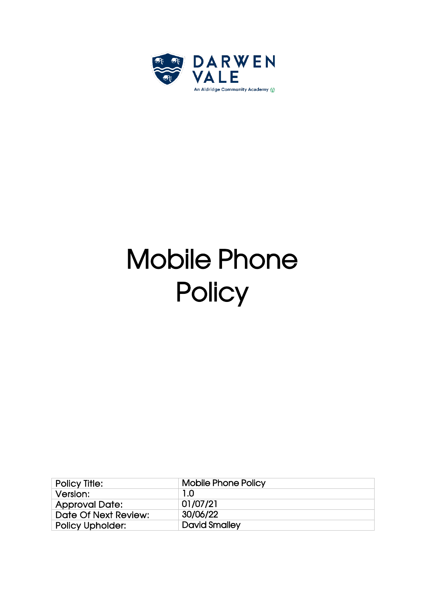

## Mobile Phone **Policy**

| Policy Title:           | <b>Mobile Phone Policy</b> |
|-------------------------|----------------------------|
| Version:                | 1.0                        |
| <b>Approval Date:</b>   | 01/07/21                   |
| Date Of Next Review:    | 30/06/22                   |
| <b>Policy Upholder:</b> | <b>David Smalley</b>       |